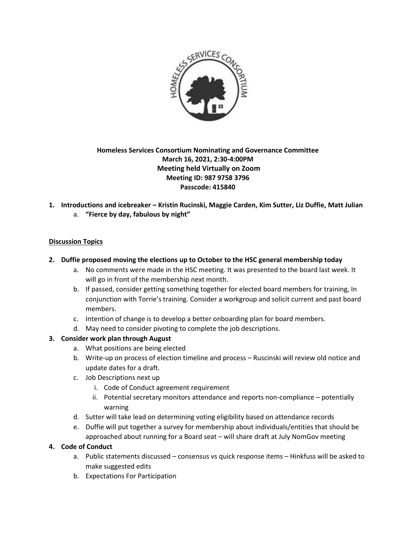

# **Homeless Services Consortium Nominating and Governance Committee March 16, 2021, 2:30-4:00PM Meeting held Virtually on Zoom Meeting ID: 987 9758 3796 Passcode: 415840**

**1. Introductions and icebreaker – Kristin Rucinski, Maggie Carden, Kim Sutter, Liz Duffie, Matt Julian** a. **"Fierce by day, fabulous by night"**

## **Discussion Topics**

- **2. Duffie proposed moving the elections up to October to the HSC general membership today**
	- a. No comments were made in the HSC meeting. It was presented to the board last week. It will go in front of the membership next month.
	- b. If passed, consider getting something together for elected board members for training, In conjunction with Torrie's training. Consider a workgroup and solicit current and past board members.
	- c. Intention of change is to develop a better onboarding plan for board members.
	- d. May need to consider pivoting to complete the job descriptions.

## **3. Consider work plan through August**

- a. What positions are being elected
- b. Write-up on process of election timeline and process Ruscinski will review old notice and update dates for a draft.
- c. Job Descriptions next up
	- i. Code of Conduct agreement requirement
	- ii. Potential secretary monitors attendance and reports non-compliance potentially warning
- d. Sutter will take lead on determining voting eligibility based on attendance records
- e. Duffie will put together a survey for membership about individuals/entities that should be approached about running for a Board seat – will share draft at July NomGov meeting

### **4. Code of Conduct**

- a. Public statements discussed consensus vs quick response items Hinkfuss will be asked to make suggested edits
- b. Expectations For Participation